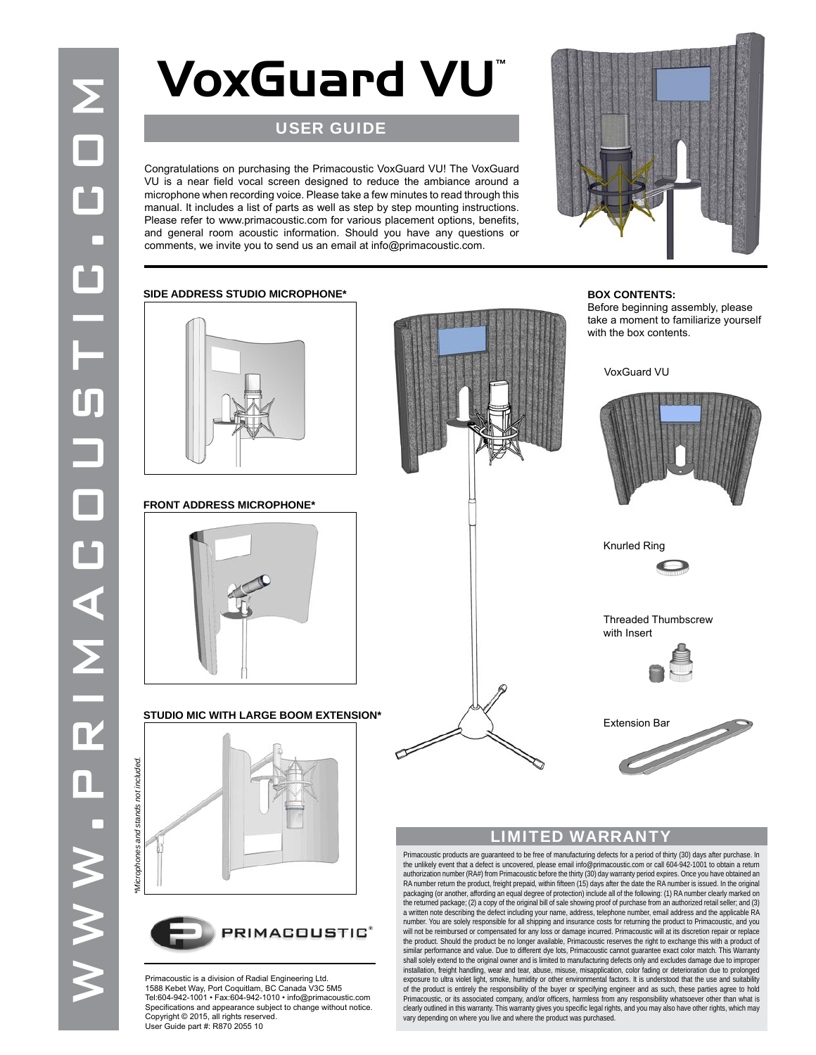## **VoxGuard VU™**

### USER GUIDE

VU is a near field vocal screen designed to reduce the ambiance around a microphone when recording voice. Please take a few minutes to read through this manual. It includes a list of parts as well as step by step mounting instructions. Please refer to www.primacoustic.com for various placement options, benefits, and general room acoustic information. Should you have any questions or



# WWW.Primacoustic.com Congratulations on purchasing the Primacoustic VoxGuard VU<br>
Congratulations on purchasing the VoxGuard VU<br>
CONGRATUS The VoxGuard VU<br>
CONGRATUS The VoxGuard VU<br>
CONGRATUS The VoxGuard VU<br>
CONGRATUS The comments, we invite you to send us an email at info@primacoustic.com. **SIDE ADDRESS STUDIO MICROPHONE\* FRONT ADDRESS MICROPHONE\* STUDIO MIC WITH LARGE BOOM EXTENSION\***

#### **BOX CONTENTS:** Before beginning assembly, please take a moment to familiarize yourself with the box contents.



Knurled Ring

 Threaded Thumbscrew with Insert



Extension Bar

#### LIMITED WARRANTY

Primacoustic products are guaranteed to be free of manufacturing defects for a period of thirty (30) days after purchase. In<br>the unlikely event that a defect is uncovered, please email info@primacoustic.com or call 604-94 authorization number (RA#) from Primacoustic before the thirty (30) day warranty period expires. Once you have obtained an<br>RA number return the product, freight prepaid, within fifteen (15) days after the date the RA numbe packaging (or another, affording an equal degree of protection) include all of the following: (1) RA number clearly marked on the returned package: (2) a copy of the original bill of sale showing proof of purchase from an authorized retail seller; and (3)<br>a written note describing the defect including your name, address, telephone number, email a will not be reimbursed or compensated for any loss or damage incurred. Primacoustic will at its discretion repair or replace the product. Should the product be no longer available, Primacoustic reserves the right to exchange this with a product of similar performance and value. Due to different dye lots, Primacoustic cannot guarantee exact color match. This Warranty<br>shall solely extend to the original owner and is limited to manufacturing defects only and excludes d installation, freight handling, wear and tear, abuse, misuse, misapplication, color fading or deterioration due to prolonged<br>exposure to ultra violet light, smoke, humidity or other environmental factors. It is understood Primacoustic, or its associated company, and/or officers, harmless from any responsibility whatsoever other than what is clearly outlined in this warranty. This warranty gives you specific legal rights, and you may also have other rights, which may vary depending on where you live and where the product was purchased.





Primacoustic is a division of Radial Engineering Ltd. 1588 Kebet Way, Port Coquitlam, BC Canada V3C 5M5 Tel:604-942-1001 • Fax:604-942-1010 • info@primacoustic.com Specifications and appearance subject to change without notice. Copyright © 2015, all rights reserved. User Guide part #: R870 2055 10